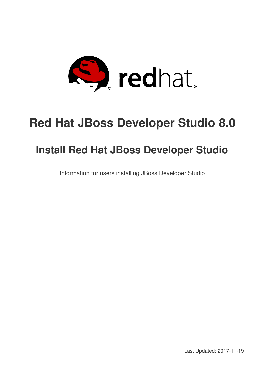

# **Red Hat JBoss Developer Studio 8.0**

# **Install Red Hat JBoss Developer Studio**

Information for users installing JBoss Developer Studio

Last Updated: 2017-11-19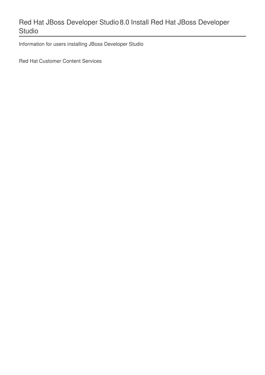# Red Hat JBoss Developer Studio 8.0 Install Red Hat JBoss Developer Studio

Information for users installing JBoss Developer Studio

Red Hat Customer Content Services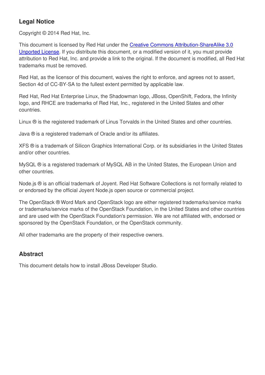# **Legal Notice**

Copyright © 2014 Red Hat, Inc.

This document is licensed by Red Hat under the Creative Commons [Attribution-ShareAlike](http://creativecommons.org/licenses/by-sa/3.0/) 3.0 Unported License. If you distribute this document, or a modified version of it, you must provide attribution to Red Hat, Inc. and provide a link to the original. If the document is modified, all Red Hat trademarks must be removed.

Red Hat, as the licensor of this document, waives the right to enforce, and agrees not to assert, Section 4d of CC-BY-SA to the fullest extent permitted by applicable law.

Red Hat, Red Hat Enterprise Linux, the Shadowman logo, JBoss, OpenShift, Fedora, the Infinity logo, and RHCE are trademarks of Red Hat, Inc., registered in the United States and other countries.

Linux ® is the registered trademark of Linus Torvalds in the United States and other countries.

Java ® is a registered trademark of Oracle and/or its affiliates.

XFS ® is a trademark of Silicon Graphics International Corp. or its subsidiaries in the United States and/or other countries.

MySQL ® is a registered trademark of MySQL AB in the United States, the European Union and other countries.

Node.js ® is an official trademark of Joyent. Red Hat Software Collections is not formally related to or endorsed by the official Joyent Node.js open source or commercial project.

The OpenStack ® Word Mark and OpenStack logo are either registered trademarks/service marks or trademarks/service marks of the OpenStack Foundation, in the United States and other countries and are used with the OpenStack Foundation's permission. We are not affiliated with, endorsed or sponsored by the OpenStack Foundation, or the OpenStack community.

All other trademarks are the property of their respective owners.

## **Abstract**

This document details how to install JBoss Developer Studio.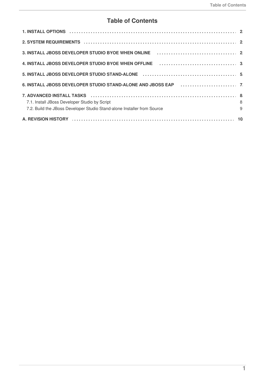# **Table of Contents**

| 2. SYSTEM REQUIREMENTS (and according to the contract of the contract of the contract of the contract of the c                     |  |
|------------------------------------------------------------------------------------------------------------------------------------|--|
| 3. INSTALL JBOSS DEVELOPER STUDIO BYOE WHEN ONLINE <i>[1] [1]</i> [1] [1] [1] [1] $\frac{1}{2}$                                    |  |
| 4. INSTALL JBOSS DEVELOPER STUDIO BYOE WHEN OFFLINE <b>Act as a contract to the STALL</b> JBOSS DEVELOPER STUDIO BYOE WHEN OFFLINE |  |
|                                                                                                                                    |  |
|                                                                                                                                    |  |
|                                                                                                                                    |  |
| $\begin{array}{c} 8 \\ 9 \end{array}$<br>7.1. Install JBoss Developer Studio by Script                                             |  |
| 7.2. Build the JBoss Developer Studio Stand-alone Installer from Source                                                            |  |
|                                                                                                                                    |  |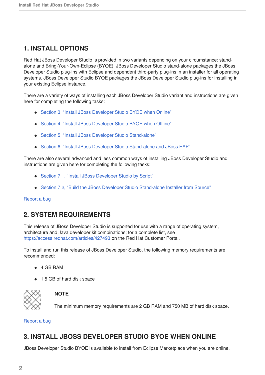# <span id="page-5-0"></span>**1. INSTALL OPTIONS**

Red Hat JBoss Developer Studio is provided in two variants depending on your circumstance: standalone and Bring-Your-Own-Eclipse (BYOE). JBoss Developer Studio stand-alone packages the JBoss Developer Studio plug-ins with Eclipse and dependent third-party plug-ins in an installer for all operating systems. JBoss Developer Studio BYOE packages the JBoss Developer Studio plug-ins for installing in your existing Eclipse instance.

There are a variety of ways of installing each JBoss Developer Studio variant and instructions are given here for completing the following tasks:

- Section 3, "Install JBoss [Developer](#page-6-1) Studio BYOE when Online"
- Section 4, "Install JBoss [Developer](#page-7-0) Studio BYOE when Offline"
- Section 5, "Install JBoss Developer Studio [Stand-alone"](#page-9-0)
- Section 6, "Install JBoss Developer Studio [Stand-alone](#page-11-2) and JBoss EAP"

There are also several advanced and less common ways of installing JBoss Developer Studio and instructions are given here for completing the following tasks:

- Section 7.1, "Install JBoss [Developer](#page-12-1) Studio by Script"
- Section 7.2, "Build the JBoss Developer Studio [Stand-alone](#page-12-0) Installer from Source"

#### [Report](https://issues.jboss.org/secure/CreateIssueDetails!init.jspa?issuetype=1&environment=Build+Name%3A+22661%2C+Install+Red+Hat+JBoss+Developer+Studio-8.0%0ABuild+Date%3A+25-11-2014+14%3A18%3A18%0ATopic+ID%3A+41915-716364+%5BLatest%5D&description=Title%3A+Install+Options%0A%0ADescribe+the+issue%3A%0A%0A%0ASuggestions+for+improvement%3A%0A%0A%0AAdditional+information%3A&pid=12310980) a bug

## <span id="page-5-1"></span>**2. SYSTEM REQUIREMENTS**

This release of JBoss Developer Studio is supported for use with a range of operating system, architecture and Java developer kit combinations; for a complete list, see <https://access.redhat.com/articles/427493> on the Red Hat Customer Portal.

To install and run this release of JBoss Developer Studio, the following memory requirements are recommended:

- 4 GB RAM
- 1.5 GB of hard disk space



### **NOTE**

The minimum memory requirements are 2 GB RAM and 750 MB of hard disk space.

[Report](https://issues.jboss.org/secure/CreateIssueDetails!init.jspa?issuetype=1&environment=Build+Name%3A+22661%2C+Install+Red+Hat+JBoss+Developer+Studio-8.0%0ABuild+Date%3A+25-11-2014+14%3A18%3A18%0ATopic+ID%3A+41913-716242+%5BLatest%5D&description=Title%3A+System+Requirements%0A%0ADescribe+the+issue%3A%0A%0A%0ASuggestions+for+improvement%3A%0A%0A%0AAdditional+information%3A&pid=12310980) a bug

## <span id="page-5-2"></span>**3. INSTALL JBOSS DEVELOPER STUDIO BYOE WHEN ONLINE**

JBoss Developer Studio BYOE is available to install from Eclipse Marketplace when you are online.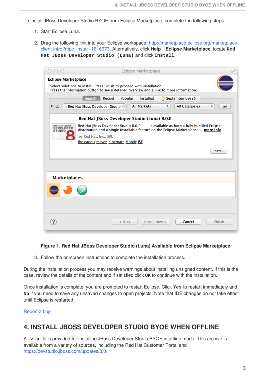<span id="page-6-1"></span>To install JBoss Developer Studio BYOE from Eclipse Marketplace, complete the following steps:

- 1. Start Eclipse Luna.
- 2. Drag the following link into your Eclipse workspace: [http://marketplace.eclipse.org/marketplace](http://marketplace.eclipse.org/marketplace-client-intro?mpc_install=1616973)client-intro?mpc\_install=1616973. Alternatively, click **Help**→**Eclipse Marketplace**, locate **Red Hat JBoss Developer Studio (Luna)** and click **Install**.

|                                                                                                                                | IR-<br><b>Eclipse Marketplace</b>                                                                                                                                         |  |  |  |  |  |  |
|--------------------------------------------------------------------------------------------------------------------------------|---------------------------------------------------------------------------------------------------------------------------------------------------------------------------|--|--|--|--|--|--|
| <b>Eclipse Marketplace</b><br>Select solutions to install. Press Finish to proceed with installation.                          |                                                                                                                                                                           |  |  |  |  |  |  |
| Press the information button to see a detailed overview and a link to more information.                                        |                                                                                                                                                                           |  |  |  |  |  |  |
|                                                                                                                                | Search<br>Recent<br>Popular<br>Installed<br>September 09/25                                                                                                               |  |  |  |  |  |  |
| <b>All Markets</b><br><b>All Categories</b><br>Go<br>Q Red Hat JBoss Developer Studio<br>$\div$<br>$\hat{\mathbb{F}}$<br>Find: |                                                                                                                                                                           |  |  |  |  |  |  |
|                                                                                                                                | Red Hat JBoss Developer Studio (Luna) 8.0.0                                                                                                                               |  |  |  |  |  |  |
| RED HAT JBOSS'<br><b>DEVELOPER</b><br><b>STUDIO</b>                                                                            | Red Hat JBoss Developer Studio 8.0.0 is available as both a fully bundled Eclipse<br>distribution and a single installable feature on the Eclipse Marketplace.  more info |  |  |  |  |  |  |
|                                                                                                                                | by Red Hat, Inc., EPL                                                                                                                                                     |  |  |  |  |  |  |
|                                                                                                                                | jbosstools maven hibernate Mobile JSF                                                                                                                                     |  |  |  |  |  |  |
|                                                                                                                                | Install                                                                                                                                                                   |  |  |  |  |  |  |
|                                                                                                                                |                                                                                                                                                                           |  |  |  |  |  |  |
|                                                                                                                                |                                                                                                                                                                           |  |  |  |  |  |  |
| <b>Marketplaces</b>                                                                                                            |                                                                                                                                                                           |  |  |  |  |  |  |
|                                                                                                                                |                                                                                                                                                                           |  |  |  |  |  |  |
|                                                                                                                                |                                                                                                                                                                           |  |  |  |  |  |  |
|                                                                                                                                |                                                                                                                                                                           |  |  |  |  |  |  |
|                                                                                                                                |                                                                                                                                                                           |  |  |  |  |  |  |
|                                                                                                                                | Install Now ><br>Finish<br>Cancel<br>$<$ Back                                                                                                                             |  |  |  |  |  |  |

#### **Figure 1. Red Hat JBoss Developer Studio (Luna) Available from Eclipse Marketplace**

3. Follow the on-screen instructions to complete the installation process.

During the installation process you may receive warnings about installing unsigned content. If this is the case, review the details of the content and if satisfied click **OK** to continue with the installation.

Once installation is complete, you are prompted to restart Eclipse. Click **Yes** to restart immediately and **No** if you need to save any unsaved changes to open projects. Note that IDE changes do not take effect until Eclipse is restarted.

[Report](https://issues.jboss.org/secure/CreateIssueDetails!init.jspa?issuetype=1&environment=Build+Name%3A+22661%2C+Install+Red+Hat+JBoss+Developer+Studio-8.0%0ABuild+Date%3A+25-11-2014+14%3A18%3A18%0ATopic+ID%3A+41919-716353+%5BLatest%5D&description=Title%3A+Install+JBoss+Developer+Studio+BYOE+when+Online%0A%0ADescribe+the+issue%3A%0A%0A%0ASuggestions+for+improvement%3A%0A%0A%0AAdditional+information%3A&pid=12310980) a bug

## <span id="page-6-0"></span>**4. INSTALL JBOSS DEVELOPER STUDIO BYOE WHEN OFFLINE**

A **.zip** file is provided for installing JBoss Developer Studio BYOE in offline mode. This archive is available from a variety of sources, including the Red Hat Customer Portal and <https://devstudio.jboss.com/updates/8.0/>.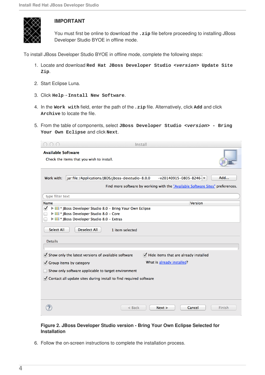<span id="page-7-0"></span>

## **IMPORTANT**

You must first be online to download the **. zip** file before proceeding to installing JBoss Developer Studio BYOE in offline mode.

To install JBoss Developer Studio BYOE in offline mode, complete the following steps:

- 1. Locate and download **Red Hat JBoss Developer Studio** *<version>* **Update Site Zip**.
- 2. Start Eclipse Luna.
- 3. Click **Help**→**Install New Software**.
- 4. In the **Work with** field, enter the path of the**.zip** file. Alternatively, click **Add** and click **Archive** to locate the file.
- 5. From the table of components, select **JBoss Developer Studio** *<version>* **- Bring Your Own Eclipse** and click **Next**.

| $\bigcap$                                                              | Install                                                                                                                                                                                                         |  |  |  |  |
|------------------------------------------------------------------------|-----------------------------------------------------------------------------------------------------------------------------------------------------------------------------------------------------------------|--|--|--|--|
| <b>Available Software</b><br>Check the items that you wish to install. |                                                                                                                                                                                                                 |  |  |  |  |
| Work with:                                                             | jar:file:/Applications/JBDS/jboss-devstudio-8.0.0<br>$-v20140915-0805-B246$<br>Add<br>Find more software by working with the "Available Software Sites" preferences.                                            |  |  |  |  |
| type filter text                                                       |                                                                                                                                                                                                                 |  |  |  |  |
| Name                                                                   | Version                                                                                                                                                                                                         |  |  |  |  |
| ⋁<br><b>Select All</b>                                                 | <b>DIE</b> * JBoss Developer Studio 8.0 - Bring Your Own Eclipse<br><b>DIE:</b> JBoss Developer Studio 8.0 - Core<br><b>DIO</b> * JBoss Developer Studio 8.0 - Extras<br><b>Deselect All</b><br>1 item selected |  |  |  |  |
| <b>Details</b>                                                         |                                                                                                                                                                                                                 |  |  |  |  |
|                                                                        | $\blacktriangledown$ Hide items that are already installed<br>Show only the latest versions of available software                                                                                               |  |  |  |  |
|                                                                        | What is already installed?<br>Group items by category                                                                                                                                                           |  |  |  |  |
|                                                                        | Show only software applicable to target environment                                                                                                                                                             |  |  |  |  |
| ○ Contact all update sites during install to find required software    |                                                                                                                                                                                                                 |  |  |  |  |
|                                                                        | Cancel<br>$<$ Back<br>Next ><br>Finish                                                                                                                                                                          |  |  |  |  |

#### **Figure 2. JBoss Developer Studio version - Bring Your Own Eclipse Selected for Installation**

6. Follow the on-screen instructions to complete the installation process.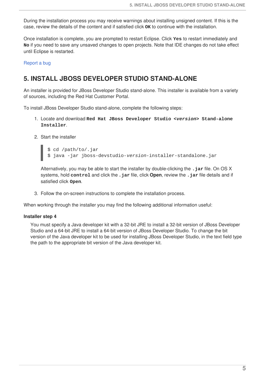During the installation process you may receive warnings about installing unsigned content. If this is the case, review the details of the content and if satisfied click **OK** to continue with the installation.

Once installation is complete, you are prompted to restart Eclipse. Click **Yes** to restart immediately and **No** if you need to save any unsaved changes to open projects. Note that IDE changes do not take effect until Eclipse is restarted.

#### [Report](https://issues.jboss.org/secure/CreateIssueDetails!init.jspa?issuetype=1&environment=Build+Name%3A+22661%2C+Install+Red+Hat+JBoss+Developer+Studio-8.0%0ABuild+Date%3A+25-11-2014+14%3A18%3A18%0ATopic+ID%3A+41914-716354+%5BLatest%5D&description=Title%3A+Install+JBoss+Developer+Studio+BYOE+when+Offline%0A%0ADescribe+the+issue%3A%0A%0A%0ASuggestions+for+improvement%3A%0A%0A%0AAdditional+information%3A&pid=12310980) a bug

## <span id="page-8-0"></span>**5. INSTALL JBOSS DEVELOPER STUDIO STAND-ALONE**

An installer is provided for JBoss Developer Studio stand-alone. This installer is available from a variety of sources, including the Red Hat Customer Portal.

To install JBoss Developer Studio stand-alone, complete the following steps:

- 1. Locate and download **Red Hat JBoss Developer Studio** *<version>* **Stand-alone Installer**.
- 2. Start the installer

\$ cd /path/to/.jar \$ java -jar jboss-devstudio-*version*-installer-standalone.jar

Alternatively, you may be able to start the installer by double-clicking the **.jar** file. On OS X systems, hold **control** and click the **.jar** file, click **Open**, review the **.jar** file details and if satisfied click **Open**.

3. Follow the on-screen instructions to complete the installation process.

When working through the installer you may find the following additional information useful:

#### **Installer step 4**

You must specify a Java developer kit with a 32-bit JRE to install a 32-bit version of JBoss Developer Studio and a 64-bit JRE to install a 64-bit version of JBoss Developer Studio. To change the bit version of the Java developer kit to be used for installing JBoss Developer Studio, in the text field type the path to the appropriate bit version of the Java developer kit.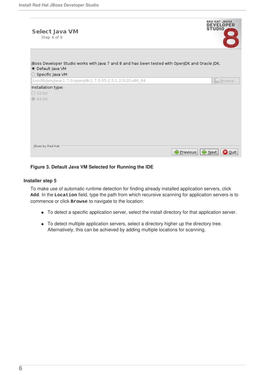<span id="page-9-0"></span>

#### **Figure 3. Default Java VM Selected for Running the IDE**

#### **Installer step 5**

To make use of automatic runtime detection for finding already installed application servers, click **Add**. In the **Location** field, type the path from which recursive scanning for application servers is to commence or click **Browse** to navigate to the location:

- To detect a specific application server, select the install directory for that application server.
- To detect multiple application servers, select a directory higher up the directory tree. Alternatively, this can be achieved by adding multiple locations for scanning.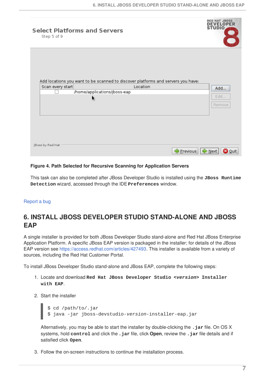| <b>Select Platforms and Servers</b><br>Step 5 of 9 |                                                                                              | <b>RED HAT JBOSS</b><br><b>DEVELOPER</b><br><b>STUDIO</b> |
|----------------------------------------------------|----------------------------------------------------------------------------------------------|-----------------------------------------------------------|
| Scan every start                                   | Add locations you want to be scanned to discover platforms and servers you have:<br>Location |                                                           |
|                                                    | /home/applications/jboss-eap                                                                 | Add                                                       |
| R.                                                 |                                                                                              | Edit                                                      |
|                                                    |                                                                                              | Remove                                                    |
|                                                    |                                                                                              |                                                           |
|                                                    |                                                                                              |                                                           |
|                                                    |                                                                                              |                                                           |
|                                                    |                                                                                              |                                                           |
| JBoss by Red Hat                                   |                                                                                              |                                                           |
|                                                    |                                                                                              | Lext  <br>Previous<br><b>O</b> Quit                       |

#### **Figure 4. Path Selected for Recursive Scanning for Application Servers**

This task can also be completed after JBoss Developer Studio is installed using the **JBoss Runtime Detection** wizard, accessed through the IDE **Preferences** window.

#### [Report](https://issues.jboss.org/secure/CreateIssueDetails!init.jspa?issuetype=1&environment=Build+Name%3A+22661%2C+Install+Red+Hat+JBoss+Developer+Studio-8.0%0ABuild+Date%3A+25-11-2014+14%3A18%3A18%0ATopic+ID%3A+41916-727442+%5BLatest%5D&description=Title%3A+Install+JBoss+Developer+Studio+Stand-alone%0A%0ADescribe+the+issue%3A%0A%0A%0ASuggestions+for+improvement%3A%0A%0A%0AAdditional+information%3A&pid=12310980) a bug

# <span id="page-10-0"></span>**6. INSTALL JBOSS DEVELOPER STUDIO STAND-ALONE AND JBOSS EAP**

A single installer is provided for both JBoss Developer Studio stand-alone and Red Hat JBoss Enterprise Application Platform. A specific JBoss EAP version is packaged in the installer; for details of the JBoss EAP version see [https://access.redhat.com/articles/427493.](https://access.redhat.com/articles/427493) This installer is available from a variety of sources, including the Red Hat Customer Portal.

To install JBoss Developer Studio stand-alone and JBoss EAP, complete the following steps:

- 1. Locate and download **Red Hat JBoss Developer Studio** *<version>* **Installer with EAP**.
- 2. Start the installer

```
$ cd /path/to/.jar
$ java -jar jboss-devstudio-version-installer-eap.jar
```
Alternatively, you may be able to start the installer by double-clicking the **.jar** file. On OS X systems, hold **control** and click the **.jar** file, click **Open**, review the **.jar** file details and if satisfied click **Open**.

3. Follow the on-screen instructions to continue the installation process.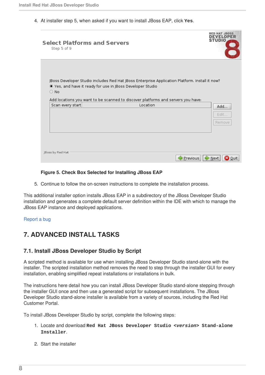<span id="page-11-2"></span>4. At installer step 5, when asked if you want to install JBoss EAP, click **Yes**.

| <b>Select Platforms and Servers</b><br>Step 5 of 9 |                                                                                                                                                            | STUDIO                               |
|----------------------------------------------------|------------------------------------------------------------------------------------------------------------------------------------------------------------|--------------------------------------|
| $\bigcirc$ No                                      | JBoss Developer Studio includes Red Hat JBoss Enterprise Application Platform. Install it now?<br>Ves, and have it ready for use in JBoss Developer Studio |                                      |
|                                                    | Add locations you want to be scanned to discover platforms and servers you have:                                                                           |                                      |
| Scan every start                                   | Location                                                                                                                                                   | Add                                  |
|                                                    |                                                                                                                                                            | Edit                                 |
|                                                    |                                                                                                                                                            | Remove                               |
|                                                    |                                                                                                                                                            |                                      |
|                                                    |                                                                                                                                                            |                                      |
|                                                    |                                                                                                                                                            |                                      |
| JBoss by Red Hat                                   |                                                                                                                                                            |                                      |
|                                                    |                                                                                                                                                            | i≫ Next<br>Previous<br><b>3</b> Quit |

#### **Figure 5. Check Box Selected for Installing JBoss EAP**

5. Continue to follow the on-screen instructions to complete the installation process.

This additional installer option installs JBoss EAP in a subdirectory of the JBoss Developer Studio installation and generates a complete default server definition within the IDE with which to manage the JBoss EAP instance and deployed applications.

[Report](https://issues.jboss.org/secure/CreateIssueDetails!init.jspa?issuetype=1&environment=Build+Name%3A+22661%2C+Install+Red+Hat+JBoss+Developer+Studio-8.0%0ABuild+Date%3A+25-11-2014+14%3A18%3A18%0ATopic+ID%3A+41917-727443+%5BLatest%5D&description=Title%3A+Install+JBoss+Developer+Studio+Stand-alone+and+JBoss+EAP%0A%0ADescribe+the+issue%3A%0A%0A%0ASuggestions+for+improvement%3A%0A%0A%0AAdditional+information%3A&pid=12310980) a bug

# <span id="page-11-0"></span>**7. ADVANCED INSTALL TASKS**

## <span id="page-11-1"></span>**7.1. Install JBoss Developer Studio by Script**

A scripted method is available for use when installing JBoss Developer Studio stand-alone with the installer. The scripted installation method removes the need to step through the installer GUI for every installation, enabling simplified repeat installations or installations in bulk.

The instructions here detail how you can install JBoss Developer Studio stand-alone stepping through the installer GUI once and then use a generated script for subsequent installations. The JBoss Developer Studio stand-alone installer is available from a variety of sources, including the Red Hat Customer Portal.

To install JBoss Developer Studio by script, complete the following steps:

- 1. Locate and download **Red Hat JBoss Developer Studio** *<version>* **Stand-alone Installer**.
- 2. Start the installer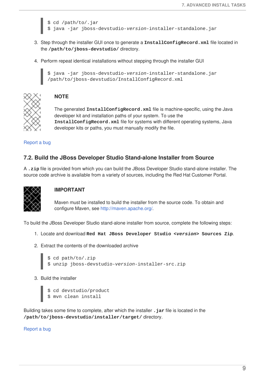<span id="page-12-1"></span>\$ cd /path/to/.jar \$ java -jar jboss-devstudio-*version*-installer-standalone.jar

- 3. Step through the installer GUI once to generate a **InstallConfigRecord.xml** file located in the **/path/to/jboss-devstudio/** directory.
- 4. Perform repeat identical installations without stepping through the installer GUI

```
$ java -jar jboss-devstudio-version-installer-standalone.jar
/path/to/jboss-devstudio/InstallConfigRecord.xml
```


## **NOTE**

The generated **InstallConfigRecord.xml** file is machine-specific, using the Java developer kit and installation paths of your system. To use the **InstallConfigRecord.xml** file for systems with different operating systems, Java developer kits or paths, you must manually modify the file.

### [Report](https://issues.jboss.org/secure/CreateIssueDetails!init.jspa?issuetype=1&environment=Build+Name%3A+22661%2C+Install+Red+Hat+JBoss+Developer+Studio-8.0%0ABuild+Date%3A+25-11-2014+14%3A18%3A18%0ATopic+ID%3A+41918-716472+%5BLatest%5D&description=Title%3A+Install+JBoss+Developer+Studio+by+Script%0A%0ADescribe+the+issue%3A%0A%0A%0ASuggestions+for+improvement%3A%0A%0A%0AAdditional+information%3A&pid=12310980) a bug

## <span id="page-12-0"></span>**7.2. Build the JBoss Developer Studio Stand-alone Installer from Source**

A **.zip** file is provided from which you can build the JBoss Developer Studio stand-alone installer. The source code archive is available from a variety of sources, including the Red Hat Customer Portal.



## **IMPORTANT**

Maven must be installed to build the installer from the source code. To obtain and configure Maven, see <http://maven.apache.org/>.

To build the JBoss Developer Studio stand-alone installer from source, complete the following steps:

- 1. Locate and download **Red Hat JBoss Developer Studio** *<version>* **Sources Zip**.
- 2. Extract the contents of the downloaded archive

```
$ cd path/to/.zip
$ unzip jboss-devstudio-version-installer-src.zip
```
3. Build the installer

```
$ cd devstudio/product
$ mvn clean install
```
Building takes some time to complete, after which the installer **.jar** file is located in the **/path/to/jboss-devstudio/installer/target/** directory.

[Report](https://issues.jboss.org/secure/CreateIssueDetails!init.jspa?issuetype=1&environment=Build+Name%3A+22661%2C+Install+Red+Hat+JBoss+Developer+Studio-8.0%0ABuild+Date%3A+25-11-2014+14%3A18%3A18%0ATopic+ID%3A+41912-716358+%5BLatest%5D&description=Title%3A+Build+the+JBoss+Developer+Studio+Stand-alone+Installer+from+Source%0A%0ADescribe+the+issue%3A%0A%0A%0ASuggestions+for+improvement%3A%0A%0A%0AAdditional+information%3A&pid=12310980) a bug